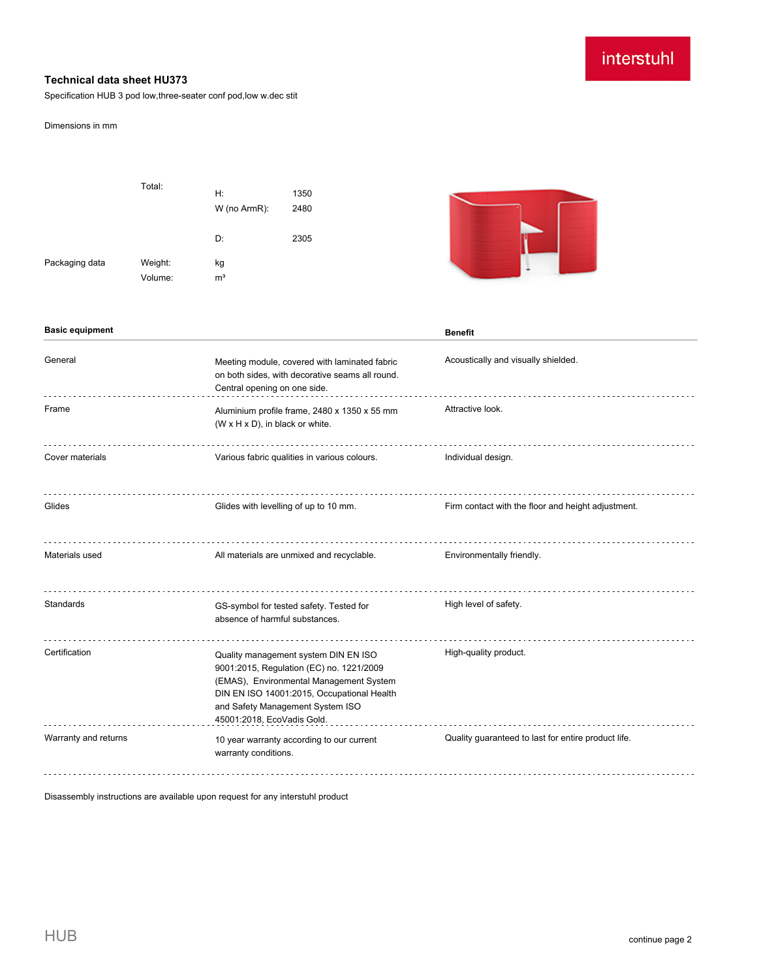# interstuhl

## **Technical data sheet HU373**

Specification HUB 3 pod low,three-seater conf pod,low w.dec stit

#### Dimensions in mm

|                | Total:             | Н:<br>W (no ArmR):   | 1350<br>2480 |  |
|----------------|--------------------|----------------------|--------------|--|
|                |                    | D:                   | 2305         |  |
| Packaging data | Weight:<br>Volume: | kg<br>m <sup>3</sup> |              |  |



| <b>Basic equipment</b> |                                                                                                                                                                                                                                             | <b>Benefit</b>                                      |
|------------------------|---------------------------------------------------------------------------------------------------------------------------------------------------------------------------------------------------------------------------------------------|-----------------------------------------------------|
| General                | Meeting module, covered with laminated fabric<br>on both sides, with decorative seams all round.<br>Central opening on one side.                                                                                                            | Acoustically and visually shielded.                 |
| Frame                  | Aluminium profile frame, 2480 x 1350 x 55 mm<br>(W x H x D), in black or white.                                                                                                                                                             | Attractive look.                                    |
| Cover materials        | Various fabric qualities in various colours.                                                                                                                                                                                                | Individual design.                                  |
| Glides                 | Glides with levelling of up to 10 mm.                                                                                                                                                                                                       | Firm contact with the floor and height adjustment.  |
| Materials used         | All materials are unmixed and recyclable.                                                                                                                                                                                                   | Environmentally friendly.                           |
| Standards              | GS-symbol for tested safety. Tested for<br>absence of harmful substances.                                                                                                                                                                   | High level of safety.                               |
| Certification          | Quality management system DIN EN ISO<br>9001:2015, Regulation (EC) no. 1221/2009<br>(EMAS), Environmental Management System<br>DIN EN ISO 14001:2015, Occupational Health<br>and Safety Management System ISO<br>45001:2018, EcoVadis Gold. | High-quality product.                               |
| Warranty and returns   | 10 year warranty according to our current<br>warranty conditions.                                                                                                                                                                           | Quality guaranteed to last for entire product life. |

Disassembly instructions are available upon request for any interstuhl product